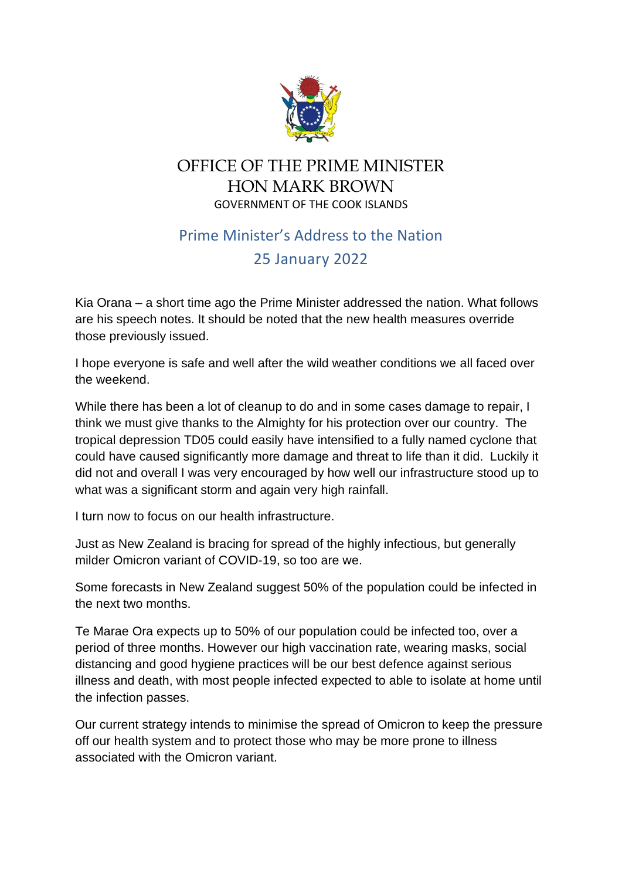

## OFFICE OF THE PRIME MINISTER HON MARK BROWN GOVERNMENT OF THE COOK ISLANDS

## Prime Minister's Address to the Nation 25 January 2022

Kia Orana – a short time ago the Prime Minister addressed the nation. What follows are his speech notes. It should be noted that the new health measures override those previously issued.

I hope everyone is safe and well after the wild weather conditions we all faced over the weekend.

While there has been a lot of cleanup to do and in some cases damage to repair, I think we must give thanks to the Almighty for his protection over our country. The tropical depression TD05 could easily have intensified to a fully named cyclone that could have caused significantly more damage and threat to life than it did. Luckily it did not and overall I was very encouraged by how well our infrastructure stood up to what was a significant storm and again very high rainfall.

I turn now to focus on our health infrastructure.

Just as New Zealand is bracing for spread of the highly infectious, but generally milder Omicron variant of COVID-19, so too are we.

Some forecasts in New Zealand suggest 50% of the population could be infected in the next two months.

Te Marae Ora expects up to 50% of our population could be infected too, over a period of three months. However our high vaccination rate, wearing masks, social distancing and good hygiene practices will be our best defence against serious illness and death, with most people infected expected to able to isolate at home until the infection passes.

Our current strategy intends to minimise the spread of Omicron to keep the pressure off our health system and to protect those who may be more prone to illness associated with the Omicron variant.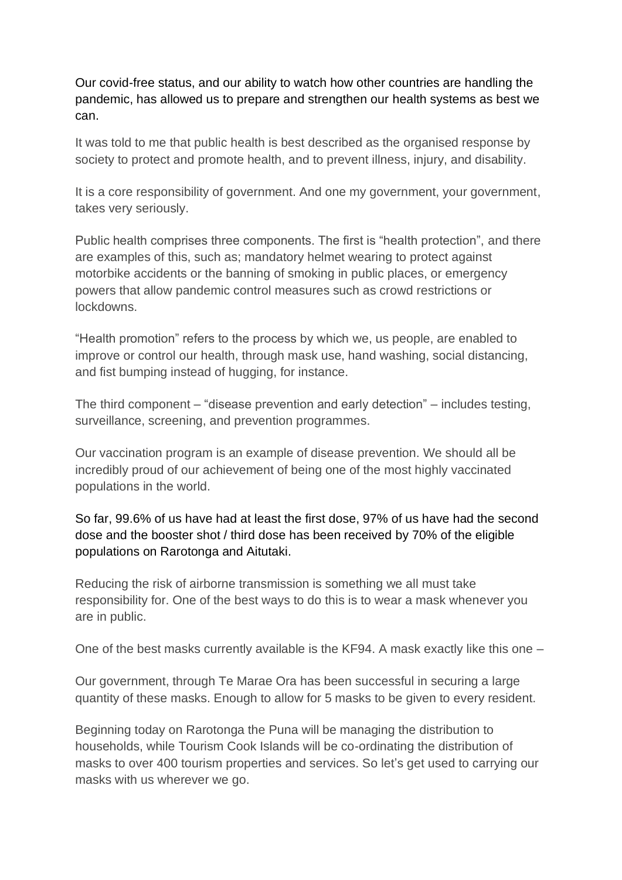Our covid-free status, and our ability to watch how other countries are handling the pandemic, has allowed us to prepare and strengthen our health systems as best we can.

It was told to me that public health is best described as the organised response by society to protect and promote health, and to prevent illness, injury, and disability.

It is a core responsibility of government. And one my government, your government, takes very seriously.

Public health comprises three components. The first is "health protection", and there are examples of this, such as; mandatory helmet wearing to protect against motorbike accidents or the banning of smoking in public places, or emergency powers that allow pandemic control measures such as crowd restrictions or lockdowns.

"Health promotion" refers to the process by which we, us people, are enabled to improve or control our health, through mask use, hand washing, social distancing, and fist bumping instead of hugging, for instance.

The third component – "disease prevention and early detection" – includes testing, surveillance, screening, and prevention programmes.

Our vaccination program is an example of disease prevention. We should all be incredibly proud of our achievement of being one of the most highly vaccinated populations in the world.

So far, 99.6% of us have had at least the first dose, 97% of us have had the second dose and the booster shot / third dose has been received by 70% of the eligible populations on Rarotonga and Aitutaki.

Reducing the risk of airborne transmission is something we all must take responsibility for. One of the best ways to do this is to wear a mask whenever you are in public.

One of the best masks currently available is the KF94. A mask exactly like this one –

Our government, through Te Marae Ora has been successful in securing a large quantity of these masks. Enough to allow for 5 masks to be given to every resident.

Beginning today on Rarotonga the Puna will be managing the distribution to households, while Tourism Cook Islands will be co-ordinating the distribution of masks to over 400 tourism properties and services. So let's get used to carrying our masks with us wherever we go.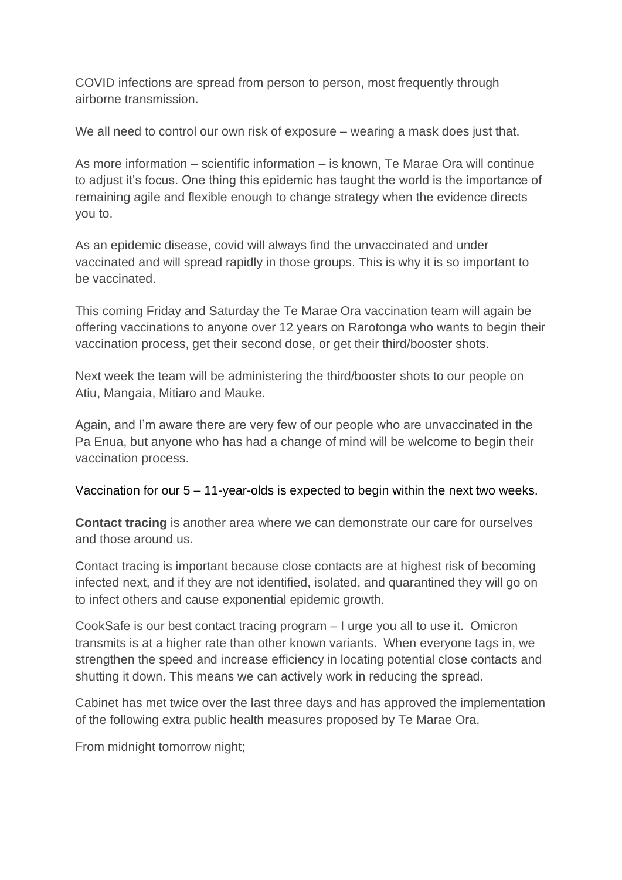COVID infections are spread from person to person, most frequently through airborne transmission.

We all need to control our own risk of exposure – wearing a mask does just that.

As more information – scientific information – is known, Te Marae Ora will continue to adjust it's focus. One thing this epidemic has taught the world is the importance of remaining agile and flexible enough to change strategy when the evidence directs you to.

As an epidemic disease, covid will always find the unvaccinated and under vaccinated and will spread rapidly in those groups. This is why it is so important to be vaccinated.

This coming Friday and Saturday the Te Marae Ora vaccination team will again be offering vaccinations to anyone over 12 years on Rarotonga who wants to begin their vaccination process, get their second dose, or get their third/booster shots.

Next week the team will be administering the third/booster shots to our people on Atiu, Mangaia, Mitiaro and Mauke.

Again, and I'm aware there are very few of our people who are unvaccinated in the Pa Enua, but anyone who has had a change of mind will be welcome to begin their vaccination process.

## Vaccination for our 5 – 11-year-olds is expected to begin within the next two weeks.

**Contact tracing** is another area where we can demonstrate our care for ourselves and those around us.

Contact tracing is important because close contacts are at highest risk of becoming infected next, and if they are not identified, isolated, and quarantined they will go on to infect others and cause exponential epidemic growth.

CookSafe is our best contact tracing program – I urge you all to use it. Omicron transmits is at a higher rate than other known variants. When everyone tags in, we strengthen the speed and increase efficiency in locating potential close contacts and shutting it down. This means we can actively work in reducing the spread.

Cabinet has met twice over the last three days and has approved the implementation of the following extra public health measures proposed by Te Marae Ora.

From midnight tomorrow night;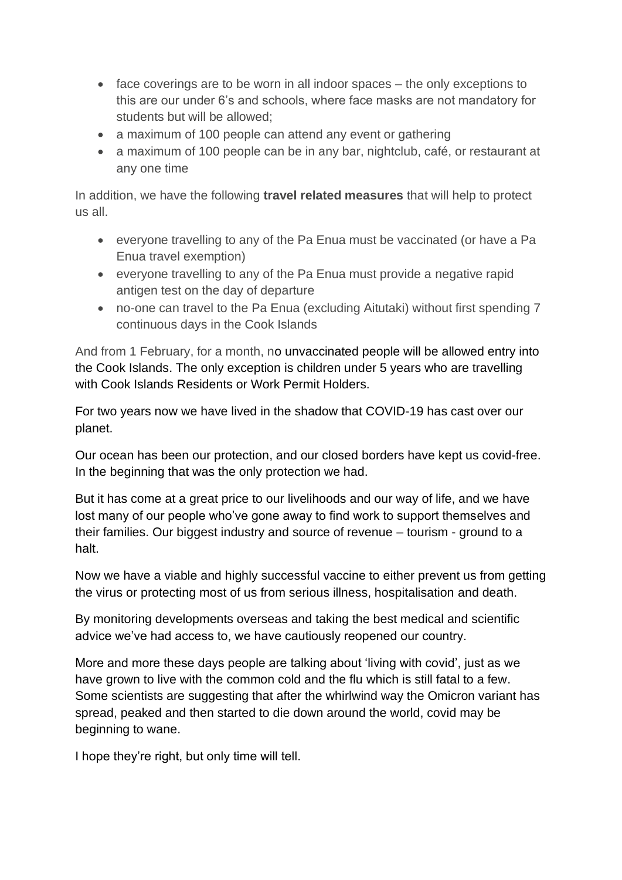- face coverings are to be worn in all indoor spaces the only exceptions to this are our under 6's and schools, where face masks are not mandatory for students but will be allowed;
- a maximum of 100 people can attend any event or gathering
- a maximum of 100 people can be in any bar, nightclub, café, or restaurant at any one time

In addition, we have the following **travel related measures** that will help to protect us all.

- everyone travelling to any of the Pa Enua must be vaccinated (or have a Pa Enua travel exemption)
- everyone travelling to any of the Pa Enua must provide a negative rapid antigen test on the day of departure
- no-one can travel to the Pa Enua (excluding Aitutaki) without first spending 7 continuous days in the Cook Islands

And from 1 February, for a month, no unvaccinated people will be allowed entry into the Cook Islands. The only exception is children under 5 years who are travelling with Cook Islands Residents or Work Permit Holders.

For two years now we have lived in the shadow that COVID-19 has cast over our planet.

Our ocean has been our protection, and our closed borders have kept us covid-free. In the beginning that was the only protection we had.

But it has come at a great price to our livelihoods and our way of life, and we have lost many of our people who've gone away to find work to support themselves and their families. Our biggest industry and source of revenue – tourism - ground to a halt.

Now we have a viable and highly successful vaccine to either prevent us from getting the virus or protecting most of us from serious illness, hospitalisation and death.

By monitoring developments overseas and taking the best medical and scientific advice we've had access to, we have cautiously reopened our country.

More and more these days people are talking about 'living with covid', just as we have grown to live with the common cold and the flu which is still fatal to a few. Some scientists are suggesting that after the whirlwind way the Omicron variant has spread, peaked and then started to die down around the world, covid may be beginning to wane.

I hope they're right, but only time will tell.